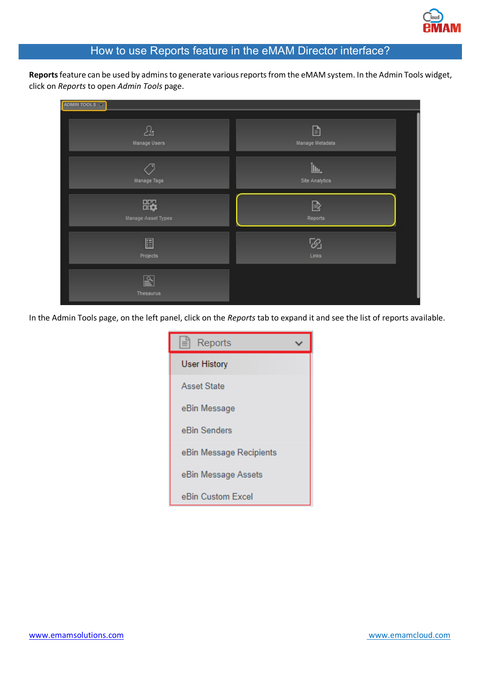

## How to use Reports feature in the eMAM Director interface?

**Reports** feature can be used by admins to generate various reports from the eMAM system. In the Admin Tools widget, click on *Reports* to open *Admin Tools* page.

| ADMIN TOOLS                      |                              |
|----------------------------------|------------------------------|
| Ŀ3                               | D                            |
| Manage Users                     | Manage Metadata              |
| Manage Tags                      | Ìщ,<br><b>Site Analytics</b> |
| <b>RG</b>                        | $\mathbb B$                  |
| Manage Asset Types               | Reports                      |
| E                                | 5                            |
| Projects                         | Links                        |
| $\mathbb{P}$<br><b>Thesaurus</b> |                              |

In the Admin Tools page, on the left panel, click on the *Reports* tab to expand it and see the list of reports available.

| Reports<br>$\equiv$     |  |
|-------------------------|--|
| User History            |  |
| <b>Asset State</b>      |  |
| eBin Message            |  |
| eBin Senders            |  |
| eBin Message Recipients |  |
| eBin Message Assets     |  |
| eBin Custom Excel       |  |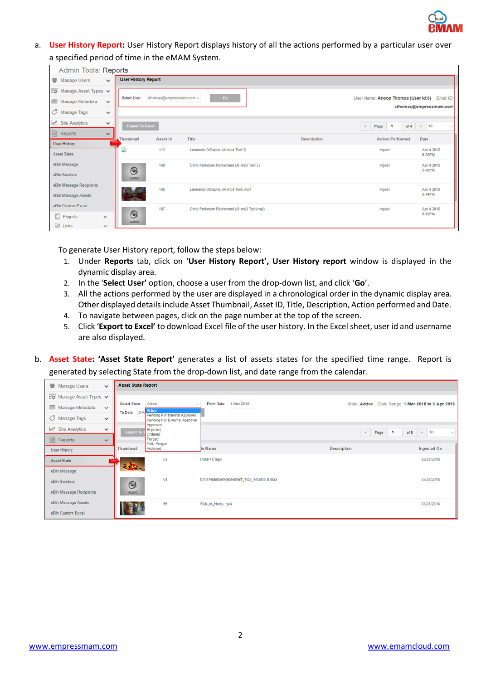a. **User History Report:** User History Report displays history of all the actions performed by a particular user over a specified period of time in the eMAM System.

| Admin Tools: Reports               |              |                            |                          |                                             |                    |                                     |                                 |
|------------------------------------|--------------|----------------------------|--------------------------|---------------------------------------------|--------------------|-------------------------------------|---------------------------------|
| 营 Manage Users                     | $\checkmark$ | <b>User History Report</b> |                          |                                             |                    |                                     |                                 |
| $E_{12}$ Manage Asset Types $\vee$ |              |                            |                          |                                             |                    |                                     |                                 |
| Manage Metadata                    | $\checkmark$ | Select User:               | athomas@empressmam.com v | Go                                          |                    | User Name: Anoop Thomas (User Id:6) | Email ID:                       |
| Manage Tags                        | $\checkmark$ |                            |                          |                                             |                    |                                     | athomas@empressmam.com          |
| Site Analytics                     | $\checkmark$ | <b>Export To Excel</b>     |                          |                                             |                    | Page 1<br>$\epsilon$                | of 4 $\rightarrow$ 10<br>$\sim$ |
| Reports                            | $\checkmark$ | Thumbnail                  | <b>Asset Id</b>          | Title                                       | <b>Description</b> | <b>Action Performed</b>             | Date                            |
| <b>User History</b>                |              |                            |                          |                                             |                    |                                     |                                 |
| Asset State                        |              | D                          | 110                      | Leonardo DiCaprio (Al mp4 Test 2)           |                    | Ingest                              | Apr 4 2018<br>6:30PM            |
| eBin Message                       |              |                            | 109                      | Chris Pedersen Retirement (AI mp3 Test 2)   |                    | Ingest                              | Apr 4 2018<br>5:45PM            |
| eBin Senders                       |              | $\odot$<br><b>AUDIO</b>    |                          |                                             |                    |                                     |                                 |
| eBin Message Recipients            |              |                            | 108                      | Leonardo DiCaprio (Al mp4 Test).mp4         |                    | Ingest                              | Apr 4 2018                      |
| eBin Message Assets                |              |                            |                          |                                             |                    |                                     | 5:44PM                          |
| eBin Custom Excel                  |              |                            | 107                      | Chris Pedersen Retirement (AI mp3 Test).mp3 |                    | Ingest                              | Apr 4 2018                      |
| 圓<br>Projects<br>$\checkmark$      |              | $\odot$<br><b>AUDIO</b>    |                          |                                             |                    |                                     | 5:42PM                          |
| $\otimes$ Links<br>$\checkmark$    |              |                            |                          |                                             |                    |                                     |                                 |

To generate User History report, follow the steps below:

- 1. Under **Reports** tab, click on '**User History Report', User History report** window is displayed in the dynamic display area.
- 2. In the '**Select User'** option, choose a user from the drop-down list, and click '**Go**'.
- 3. All the actions performed by the user are displayed in a chronological order in the dynamic display area. Other displayed details include Asset Thumbnail, Asset ID, Title, Description, Action performed and Date.
- 4. To navigate between pages, click on the page number at the top of the screen.
- 5. Click '**Export to Excel'** to download Excel file of the user history. In the Excel sheet, user id and username are also displayed.
- b. **Asset State: 'Asset State Report'** generates a list of assets states for the specified time range. Report is generated by selecting State from the drop-down list, and date range from the calendar.

| 警 Manage Users<br>$\checkmark$                         | <b>Asset State Report</b>                                      |                                         |                    |                                        |
|--------------------------------------------------------|----------------------------------------------------------------|-----------------------------------------|--------------------|----------------------------------------|
| $E_{\text{NS}}^{\text{max}}$ Manage Asset Types $\vee$ |                                                                |                                         |                    |                                        |
| Manage Metadata<br>$\checkmark$                        | Active<br>Select State:<br>$\sim$<br>Active<br>To Date: $2-4$  | From Date: 1-Mar-2018                   | State: Active      | Date Range: 1-Mar-2018 to 2-Apr-2018   |
| / Manage Tags<br>$\checkmark$                          | Pending For Internal Approval<br>Pending For External Approval |                                         |                    |                                        |
| $\mathbb{Z}$ Site Analytics<br>$\checkmark$            | Approved<br>Rejected<br><b>Export To</b>                       |                                         |                    | $\bullet$ 10<br>« Page 1<br>of 5<br>M. |
| $\boxed{\triangle}$ Reports<br>$\checkmark$            | Ordered<br>Purged<br><b>Fully Purged</b>                       |                                         |                    |                                        |
| User History                                           | Thumbnail<br>Archived                                          | le Name                                 | <b>Description</b> | <b>Ingested On</b>                     |
| <b>Asset State</b>                                     | 63                                                             | small-15,mp4                            |                    | 03/28/2018                             |
| eBin Message                                           | 建筑                                                             |                                         |                    |                                        |
| eBin Senders                                           | 64<br>$\odot$                                                  | ChrisPedersenRetirement_mp3_emam5.0.mp3 |                    | 03/28/2018                             |
| eBin Message Recipients                                | <b>AUDIO</b>                                                   |                                         |                    |                                        |
| eBin Message Assets                                    | 65                                                             | Wok_in_Heels.mp4                        |                    | 03/28/2018                             |
| eBin Custom Excel                                      |                                                                |                                         |                    |                                        |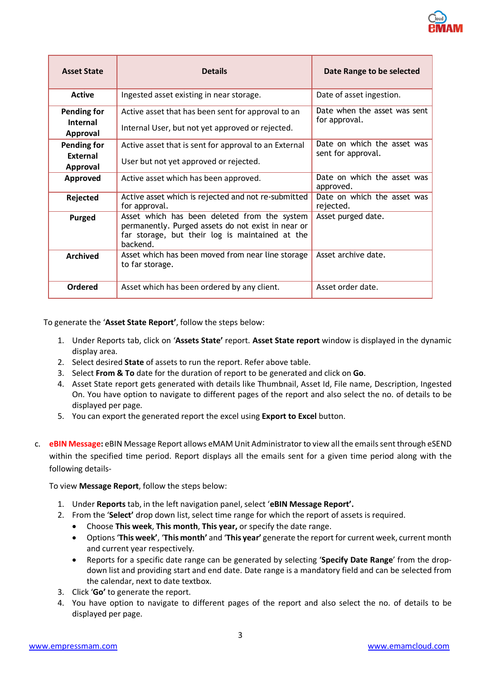| <b>Asset State</b>                                                                      | <b>Details</b>                                                                                                                                                    | Date Range to be selected                         |
|-----------------------------------------------------------------------------------------|-------------------------------------------------------------------------------------------------------------------------------------------------------------------|---------------------------------------------------|
| <b>Active</b>                                                                           | Ingested asset existing in near storage.                                                                                                                          | Date of asset ingestion.                          |
| Pending for<br>Internal<br>Approval                                                     | Active asset that has been sent for approval to an<br>Internal User, but not yet approved or rejected.                                                            | Date when the asset was sent<br>for approval.     |
| Pending for<br><b>External</b><br>Approval                                              | Active asset that is sent for approval to an External<br>User but not yet approved or rejected.                                                                   | Date on which the asset was<br>sent for approval. |
| Approved                                                                                | Active asset which has been approved.                                                                                                                             | Date on which the asset was<br>approved.          |
| Rejected                                                                                | Active asset which is rejected and not re-submitted<br>for approval.                                                                                              | Date on which the asset was<br>rejected.          |
| <b>Purged</b>                                                                           | Asset which has been deleted from the system<br>permanently. Purged assets do not exist in near or<br>far storage, but their log is maintained at the<br>backend. | Asset purged date.                                |
| Asset which has been moved from near line storage<br><b>Archived</b><br>to far storage. |                                                                                                                                                                   | Asset archive date.                               |
| <b>Ordered</b>                                                                          | Asset which has been ordered by any client.                                                                                                                       | Asset order date.                                 |

To generate the '**Asset State Report'**, follow the steps below:

- 1. Under Reports tab, click on '**Assets State'** report. **Asset State report** window is displayed in the dynamic display area.
- 2. Select desired **State** of assets to run the report. Refer above table.
- 3. Select **From & To** date for the duration of report to be generated and click on **Go**.
- 4. Asset State report gets generated with details like Thumbnail, Asset Id, File name, Description, Ingested On. You have option to navigate to different pages of the report and also select the no. of details to be displayed per page.
- 5. You can export the generated report the excel using **Export to Excel** button.
- c. **eBIN Message:** eBIN Message Report allows eMAM Unit Administrator to view all the emails sent through eSEND within the specified time period. Report displays all the emails sent for a given time period along with the following details-

To view **Message Report**, follow the steps below:

- 1. Under **Reports** tab, in the left navigation panel, select '**eBIN Message Report'.**
- 2. From the '**Select'** drop down list, select time range for which the report of assets is required.
	- Choose **This week**, **This month**, **This year,** or specify the date range.
	- Options '**This week'**, '**This month'** and '**This year'** generate the report for current week, current month and current year respectively.
	- Reports for a specific date range can be generated by selecting '**Specify Date Range**' from the dropdown list and providing start and end date. Date range is a mandatory field and can be selected from the calendar, next to date textbox.
- 3. Click '**Go'** to generate the report.
- 4. You have option to navigate to different pages of the report and also select the no. of details to be displayed per page.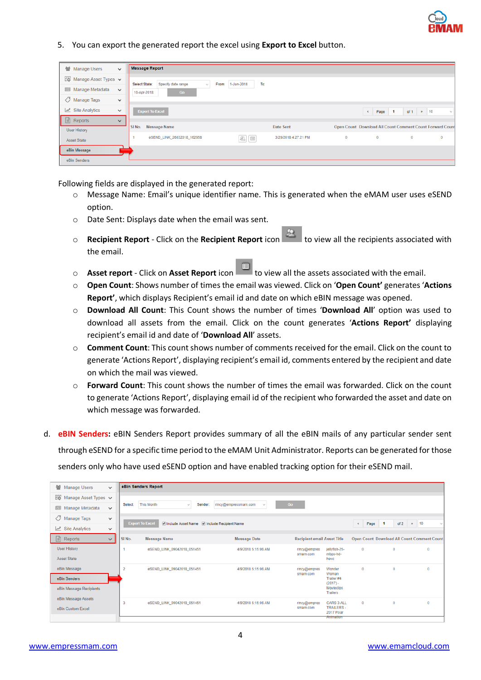5. You can export the generated report the excel using **Export to Excel** button.

| 營 Manage Users                           | $\checkmark$ | <b>Message Report</b>                    |                                      |                      |     |                      |              |                                                           |                  |                |
|------------------------------------------|--------------|------------------------------------------|--------------------------------------|----------------------|-----|----------------------|--------------|-----------------------------------------------------------|------------------|----------------|
|                                          |              |                                          |                                      |                      |     |                      |              |                                                           |                  |                |
| $E_{\text{W}}$ Manage Asset Types $\vee$ |              | Select State:<br>Specify date range      | From:<br>$\mathcal{L}_{\mathcal{A}}$ | 1-Jan-2018           | To: |                      |              |                                                           |                  |                |
| Manage Metadata                          | $\check{~}$  | Go<br>10-Apr-2018                        |                                      |                      |     |                      |              |                                                           |                  |                |
| / Manage Tags                            | $\checkmark$ |                                          |                                      |                      |     |                      |              |                                                           |                  |                |
| $\mathbb{Z}$ Site Analytics              | $\checkmark$ | <b>Export To Excel</b>                   |                                      |                      |     |                      |              | ∣ 1<br>Page<br>$\alpha$                                   | of $1 \times 10$ | $\mathcal{M}$  |
| $\Box$<br>Reports                        | $\checkmark$ |                                          |                                      |                      |     |                      |              |                                                           |                  |                |
| <b>User History</b>                      |              | <b>Message Name</b><br>SI <sub>No.</sub> |                                      |                      |     | Date Sent            |              | Open Count Download All Count Comment Count Forward Count |                  |                |
| <b>Asset State</b>                       |              | eSEND_LINK_26032018_162658               |                                      | $\boxed{\mathbb{R}}$ |     | 3/26/2018 4:27:21 PM | $\mathbf{0}$ | $\overline{0}$                                            | $\bf{0}$         | $\overline{0}$ |
| eBin Message                             |              |                                          |                                      |                      |     |                      |              |                                                           |                  |                |
| eBin Senders                             |              |                                          |                                      |                      |     |                      |              |                                                           |                  |                |

Following fields are displayed in the generated report:

- o Message Name: Email's unique identifier name. This is generated when the eMAM user uses eSEND option.
- o Date Sent: Displays date when the email was sent.
- o **Recipient Report** Click on the **Recipient Report** icon **the state of the recipients associated with** the email.
- **Asset report** Click on Asset Report icon  $\Box$  to view all the assets associated with the email.
- o **Open Count**: Shows number of times the email was viewed. Click on '**Open Count'** generates '**Actions Report'**, which displays Recipient's email id and date on which eBIN message was opened.
- o **Download All Count**: This Count shows the number of times '**Download All**' option was used to download all assets from the email. Click on the count generates '**Actions Report'** displaying recipient's email id and date of '**Download All**' assets.
- o **Comment Count**: This count shows number of comments received for the email. Click on the count to generate 'Actions Report', displaying recipient's email id, comments entered by the recipient and date on which the mail was viewed.
- o **Forward Count**: This count shows the number of times the email was forwarded. Click on the count to generate 'Actions Report', displaying email id of the recipient who forwarded the asset and date on which message was forwarded.
- d. **eBIN Senders:** eBIN Senders Report provides summary of all the eBIN mails of any particular sender sent through eSEND for a specific time period to the eMAM Unit Administrator. Reports can be generated for those senders only who have used eSEND option and have enabled tracking option for their eSEND mail.

| 營 Manage Users                           | $\checkmark$ |         | eBin Senders Report                         |                                       |                                    |                                |            |                        |                                             |
|------------------------------------------|--------------|---------|---------------------------------------------|---------------------------------------|------------------------------------|--------------------------------|------------|------------------------|---------------------------------------------|
| $E_{\text{D}}$ Manage Asset Types $\vee$ |              |         |                                             |                                       |                                    |                                |            |                        |                                             |
| Manage Metadata                          | $\checkmark$ | Select: | <b>This Month</b><br>Sender:<br>v.          | rincy@empressmam.com<br>$\mathcal{M}$ | Go                                 |                                |            |                        |                                             |
| O<br>Manage Tags                         | $\checkmark$ |         | <b>Export To Excel</b>                      |                                       |                                    |                                |            |                        | $\ast$ 10                                   |
| $\mathbb{R}^n$ Site Analytics            | $\checkmark$ |         | Include Asset Name 7 Include Recipient Name |                                       |                                    |                                | Page<br>¢. | of 2<br>$\blacksquare$ |                                             |
| $\Box$ Reports                           | $\checkmark$ | SI No.  | <b>Message Name</b>                         | <b>Message Date</b>                   | <b>Recipient email Asset Title</b> |                                |            |                        | Open Count Download All Count Comment Count |
| <b>User History</b>                      |              |         | eSEND_LINK_09042018_051451                  | 4/9/2018 5:15:06 AM                   | rincy@empres<br>smam.com           | jellyfish-25-<br>mbps-hd-      | $\bf{0}$   | $\mathbf{0}$           | $\Omega$                                    |
| <b>Asset State</b>                       |              |         |                                             |                                       |                                    | hevc                           |            |                        |                                             |
| eBin Message                             |              |         | eSEND_LINK_09042018_051451                  | 4/9/2018 5:15:06 AM                   | rincy@empres<br>smam.com           | Wonder<br>Woman                | $\bf{0}$   | $\theta$               | $\Omega$                                    |
| eBin Senders                             |              |         |                                             |                                       |                                    | Trailer #4<br>$(2017) -$       |            |                        |                                             |
| eBin Message Recipients                  |              |         |                                             |                                       |                                    | Movieclips<br><b>Trailers</b>  |            |                        |                                             |
| eBin Message Assets                      |              |         | eSEND_LINK_09042018_051451                  | 4/9/2018 5:15:06 AM                   | rincy@empres                       | <b>CARS 3 ALL</b>              | $\Omega$   | $\theta$               | $\Omega$                                    |
| eBin Custom Excel                        |              |         |                                             |                                       | smam.com                           | <b>TRAILERS-</b><br>2017 Pixar |            |                        |                                             |
|                                          |              |         |                                             |                                       |                                    | Animation                      |            |                        |                                             |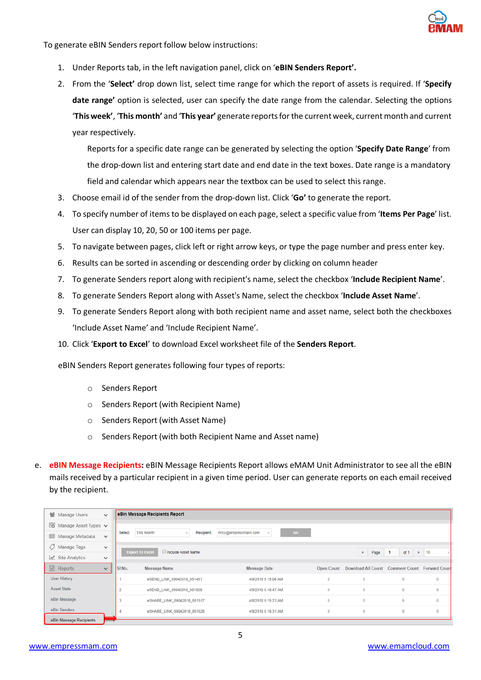

To generate eBIN Senders report follow below instructions:

- 1. Under Reports tab, in the left navigation panel, click on '**eBIN Senders Report'.**
- 2. From the '**Select'** drop down list, select time range for which the report of assets is required. If '**Specify**  date range' option is selected, user can specify the date range from the calendar. Selecting the options '**This week'**, '**This month'** and '**This year'** generate reports for the current week, current month and current year respectively.

Reports for a specific date range can be generated by selecting the option '**Specify Date Range**' from the drop-down list and entering start date and end date in the text boxes. Date range is a mandatory field and calendar which appears near the textbox can be used to select this range.

- 3. Choose email id of the sender from the drop-down list. Click '**Go'** to generate the report.
- 4. To specify number of items to be displayed on each page, select a specific value from '**Items Per Page**' list. User can display 10, 20, 50 or 100 items per page.
- 5. To navigate between pages, click left or right arrow keys, or type the page number and press enter key.
- 6. Results can be sorted in ascending or descending order by clicking on column header
- 7. To generate Senders report along with recipient's name, select the checkbox '**Include Recipient Name**'.
- 8. To generate Senders Report along with Asset's Name, select the checkbox '**Include Asset Name**'.
- 9. To generate Senders Report along with both recipient name and asset name, select both the checkboxes 'Include Asset Name' and 'Include Recipient Name'.
- 10. Click '**Export to Excel**' to download Excel worksheet file of the **Senders Report**.

eBIN Senders Report generates following four types of reports:

- o Senders Report
- o Senders Report (with Recipient Name)
- o Senders Report (with Asset Name)
- Senders Report (with both Recipient Name and Asset name)
- e. **eBIN Message Recipients:** eBIN Message Recipients Report allows eMAM Unit Administrator to see all the eBIN mails received by a particular recipient in a given time period. User can generate reports on each email received by the recipient.

| 警 Manage Users                           | $\checkmark$ |         | eBin Message Recipients Report               |                                                           |          |                                                           |                        |              |
|------------------------------------------|--------------|---------|----------------------------------------------|-----------------------------------------------------------|----------|-----------------------------------------------------------|------------------------|--------------|
| $E_{\text{D}}$ Manage Asset Types $\vee$ |              |         |                                              |                                                           |          |                                                           |                        |              |
| Manage Metadata                          | $\checkmark$ | Select: | This Month<br>Recipient:<br>$\sim$           | Go<br>rincy@empressmam.com<br>$\mathcal{N}_{\mathcal{S}}$ |          |                                                           |                        |              |
| Manage Tags                              | $\checkmark$ |         | <b>Export To Excel</b><br>Include Asset Name |                                                           |          | Page<br>$\ll$                                             | of 1<br>$\blacksquare$ | $\approx$ 10 |
| Site Analytics                           | $\checkmark$ |         |                                              |                                                           |          |                                                           |                        |              |
| $\Box$ Reports                           | $\checkmark$ | SINo.   | <b>Message Name</b>                          | <b>Message Date</b>                                       |          | Open Count Download All Count Comment Count Forward Count |                        |              |
| User History                             |              |         | eSEND_LINK_09042018_051451                   | 4/9/2018 5:15:06 AM                                       | $\bf{0}$ | $\bf{0}$                                                  | $\Omega$               | $\bf{0}$     |
| <b>Asset State</b>                       |              |         | eSEND_LINK_09042018_051828                   | 4/9/2018 5:18:47 AM                                       | $\bf{0}$ | $\bf{0}$                                                  | $\bf{0}$               | $\bf{0}$     |
| eBin Message                             |              |         | eSHARE LINK 09042018 051517                  | 4/9/2018 5:15:23 AM                                       | $\bf{0}$ | $\bf{0}$                                                  | $\theta$               | $\bf{0}$     |
| eBin Senders                             |              |         | eSHARE_LINK_09042018_051628                  | 4/9/2018 5:16:31 AM                                       | $\bf{0}$ | $\bf{0}$                                                  | $\bf{0}$               | $\bf{0}$     |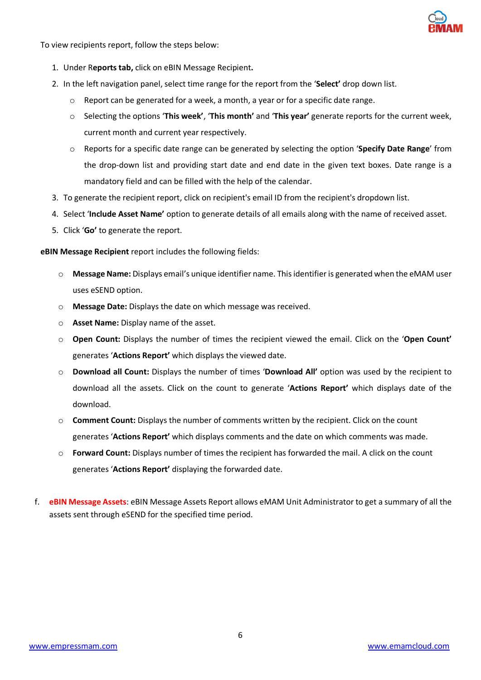To view recipients report, follow the steps below:

- 1. Under R**eports tab,** click on eBIN Message Recipient**.**
- 2. In the left navigation panel, select time range for the report from the '**Select'** drop down list.
	- o Report can be generated for a week, a month, a year or for a specific date range.
	- o Selecting the options '**This week'**, '**This month'** and '**This year'** generate reports for the current week, current month and current year respectively.
	- o Reports for a specific date range can be generated by selecting the option '**Specify Date Range**' from the drop-down list and providing start date and end date in the given text boxes. Date range is a mandatory field and can be filled with the help of the calendar.
- 3. To generate the recipient report, click on recipient's email ID from the recipient's dropdown list.
- 4. Select '**Include Asset Name'** option to generate details of all emails along with the name of received asset.
- 5. Click '**Go'** to generate the report.

**eBIN Message Recipient** report includes the following fields:

- o **Message Name:** Displays email's unique identifier name. This identifier is generated when the eMAM user uses eSEND option.
- o **Message Date:** Displays the date on which message was received.
- o **Asset Name:** Display name of the asset.
- o **Open Count:** Displays the number of times the recipient viewed the email. Click on the '**Open Count'** generates '**Actions Report'** which displays the viewed date.
- o **Download all Count:** Displays the number of times '**Download All'** option was used by the recipient to download all the assets. Click on the count to generate '**Actions Report'** which displays date of the download.
- o **Comment Count:** Displays the number of comments written by the recipient. Click on the count generates '**Actions Report'** which displays comments and the date on which comments was made.
- o **Forward Count:** Displays number of times the recipient has forwarded the mail. A click on the count generates '**Actions Report'** displaying the forwarded date.
- f. **eBIN Message Assets**: eBIN Message Assets Report allows eMAM Unit Administrator to get a summary of all the assets sent through eSEND for the specified time period.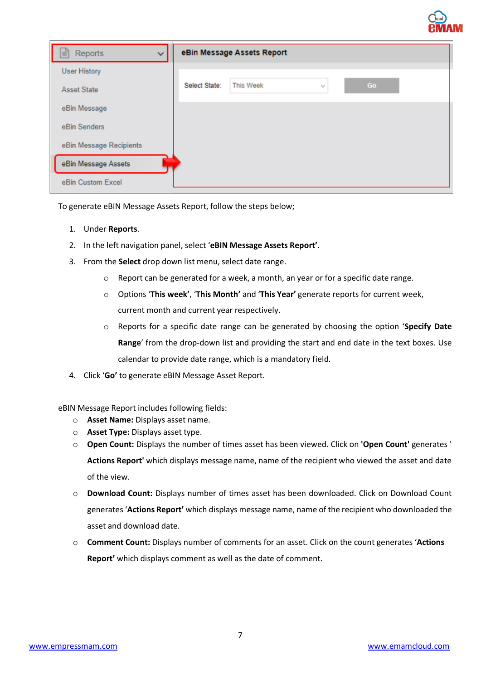|                              |               |                            |   |    | <b>BMAN</b> |
|------------------------------|---------------|----------------------------|---|----|-------------|
| Reports<br>$\checkmark$<br>E |               | eBin Message Assets Report |   |    |             |
| <b>User History</b>          |               |                            |   |    |             |
| <b>Asset State</b>           | Select State: | <b>This Week</b>           | v | Go |             |
| eBin Message                 |               |                            |   |    |             |
| eBin Senders                 |               |                            |   |    |             |
| eBin Message Recipients      |               |                            |   |    |             |
| eBin Message Assets          |               |                            |   |    |             |
| eBin Custom Excel            |               |                            |   |    |             |

To generate eBIN Message Assets Report, follow the steps below;

- 1. Under **Reports**.
- 2. In the left navigation panel, select '**eBIN Message Assets Report'**.
- 3. From the **Select** drop down list menu, select date range.
	- $\circ$  Report can be generated for a week, a month, an year or for a specific date range.
	- o Options '**This week'**, '**This Month'** and '**This Year'** generate reports for current week, current month and current year respectively.
	- o Reports for a specific date range can be generated by choosing the option '**Specify Date Range**' from the drop-down list and providing the start and end date in the text boxes. Use calendar to provide date range, which is a mandatory field.
- 4. Click '**Go'** to generate eBIN Message Asset Report.

eBIN Message Report includes following fields:

- o **Asset Name:** Displays asset name.
- o **Asset Type:** Displays asset type.
- o **Open Count:** Displays the number of times asset has been viewed. Click on **'Open Count'** generates ' **Actions Report'** which displays message name, name of the recipient who viewed the asset and date of the view.
- o **Download Count:** Displays number of times asset has been downloaded. Click on Download Count generates '**Actions Report'** which displays message name, name of the recipient who downloaded the asset and download date.
- o **Comment Count:** Displays number of comments for an asset. Click on the count generates '**Actions Report'** which displays comment as well as the date of comment.